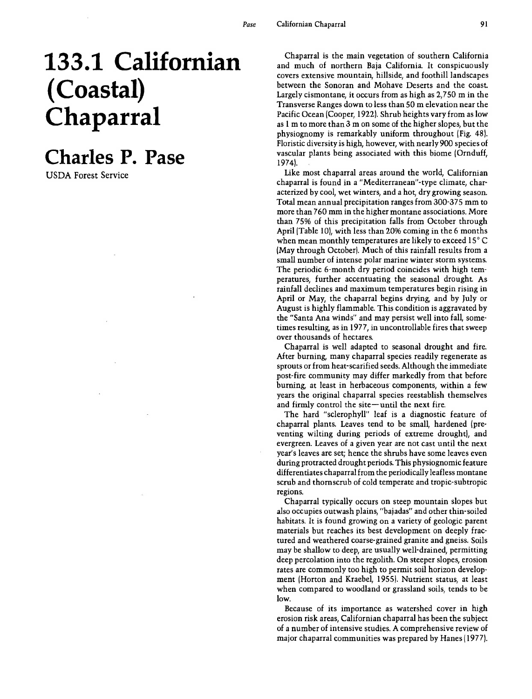# 133.1 Californian (Coastal) Chaparral

## Charles P. Pase

USDA Forest Service

Chaparral is the main vegetation of southern California and much of northern Baja California It conspicuously covers extensive mountain, hillside, and foothill landscapes between the Sonoran and Mohave Deserts and the coast Largely cismontane, it occurs from as high as 2,750 <sup>m</sup> in the Transverse Ranges down to less than 50 m elevation near the Pacific Ocean (Cooper, 1922). Shrub heights vary from as low as <sup>1</sup> m to more than 3 m on some of the higher slopes, but the physiognomy is remarkably uniform throughout (Fig. 48). Floristic diversity is high, however, with nearly 900 species of vascular plants being associated with this biome [Ornduff 1974}.

Like most chaparral areas around the world, Californian chaparral is found in <sup>a</sup> "Mediterranean"-type climate, characterized by cool, wet winters, and <sup>a</sup> hot, dry growing season. Total mean annual precipitation ranges from 300-375 mm to more than 760 mm in the higher montane associations. More than 75% of this precipitation falls from October through April (Table 10), with less than 20% coming in the 6 months when mean monthly temperatures are likely to exceed  $15^{\circ}$  C (May through October). Much of this rainfall results from <sup>a</sup> small number of intense polar marine winter storm systems. The periodic 6-month dry period coincides with high temperatures, further accentuating the seasonal drought. As rainfall declines and maximum temperatures begin rising in April or May, the chaparral begins drying, and by July or August is highly flammable. This condition is aggravated by the "Santa Ana winds" and may persist well into fall, sometimes resulting, as in 1977, in uncontrollable fires that sweep over thousands of hectares.

Chaparral is well adapted to seasonal drought and fire. After burning, many chaparral species readily regenerate as sprouts or from heat-scarified seeds. Although the immediate post-fire community may differ markedly from that before burning, at least in herbaceous components, within <sup>a</sup> few years the original chaparral species reestablish themselves and firmly control the site-until the next fire.

The hard "sclerophyll" leaf is <sup>a</sup> diagnostic feature of chaparral plants. Leaves tend to be small, hardened (preventing wilting during periods of extreme drought), and evergreen. Leaves of <sup>a</sup> given year are not cast until the next year's leaves are set; hence the shrubs have some leaves even during protracted drought periods. This physiognomic feature differentiates chaparral from the periodically leafless montane scrub and thornscrub of cold temperate and tropic-subtropic regions.

Chaparral typically occurs on steep mountain slopes but also occupies outwash plains, "bajadas" and other thin-soiled habitats. It is found growing on <sup>a</sup> variety of geologic parent materials but reaches its best development on deeply fractured and weathered coarse-grained granite and gneiss. Soils may be shallow to deep, are usually well-drained, permitting deep percolation into the regolith. On steeper slopes, erosion rates are commonly too high to permit soil horizon development (Horton and Kraebel, 1955). Nutrient status, at least when compared to woodland or grassland soils, tends to be low.

Because of its importance as watershed cover in high erosion risk areas, Californian chaparral has been the subject of <sup>a</sup> number of intensive studies. A comprehensive review of major chaparral communities was prepared by Hanes (1977).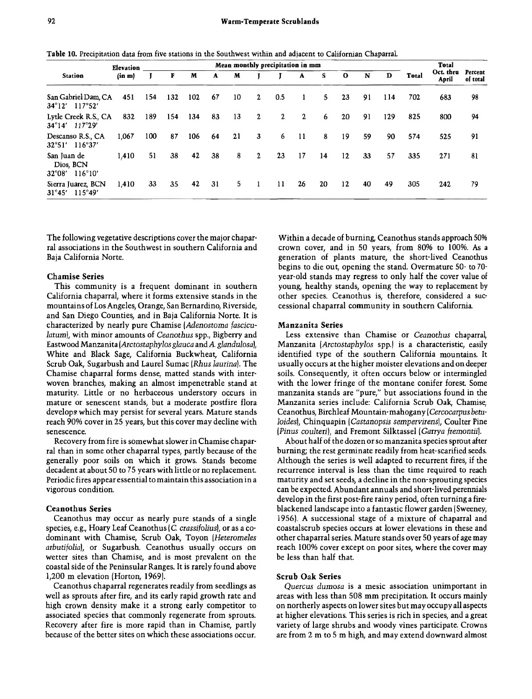Table 10. Precipitation data from five stations in the Southwest within and adjacent to Californian Chaparral.

|                                                            | Elevation | Mean monthly precipitation in mm |     |     |    |    |              |              |              |    |              |    |     |       | Total              |                     |
|------------------------------------------------------------|-----------|----------------------------------|-----|-----|----|----|--------------|--------------|--------------|----|--------------|----|-----|-------|--------------------|---------------------|
| <b>Station</b>                                             | (in m)    |                                  | F   | M   | A  | M  |              |              | A            | S  | $\mathbf{o}$ | N  | D   | Total | Oct. thru<br>April | Percent<br>of total |
| San Gabriel Dam. CA<br>117°52'<br>$34^\circ 12'$           | 451       | 154                              | 132 | 102 | 67 | 10 | $\mathbf{2}$ | 0.5          |              | 5  | 23           | 91 | 114 | 702   | 683                | 98                  |
| Lytle Creek R.S., CA<br>$117^{\circ}29'$<br>$34^\circ 14'$ | 832       | 189                              | 154 | 134 | 83 | 13 | $\mathbf{2}$ | $\mathbf{2}$ | $\mathbf{2}$ | 6  | 20           | 91 | 129 | 825   | 800                | 94                  |
| Descanso R.S., CA<br>$116^{\circ}37'$<br>$32^{\circ}51'$   | 1,067     | 100                              | 87  | 106 | 64 | 21 | $\mathbf{3}$ | 6            | 11           | 8  | 19           | 59 | 90  | 574   | 525                | 91                  |
| San Juan de<br>Dios, BCN<br>116°10'<br>$32^{\circ}08'$     | 1,410     | 51                               | 38  | 42  | 38 | 8  | $\mathbf{2}$ | 23           | 17           | 14 | $12 \,$      | 33 | 57  | 335   | 271                | 81                  |
| Sierra Juarez, BCN<br>$115^{\circ}49'$<br>$31^\circ 45'$   | 1,410     | 33                               | 35  | 42  | 31 | 5  | 1            | 11           | 26           | 20 | 12           | 40 | 49  | 305   | 242                | 79                  |

The following vegetative descriptions cover the major chaparral associations in the Southwest in southern California and Baja California Norte.

### Chamise Series

This community is <sup>a</sup> frequent dominant in southern California chaparral, where it forms extensive stands in the mountains of Los Angeles, Orange, San Bernardino, Riverside, and San Diego Counties, and in Baja California Norte. It is characterized by nearly pure Chamise (Adenostoma fasciculatuml, with minor amounts of Ceanothus spp., Bigberry and Eastwood Manzanita (Arctostaphylos glauca and A. glandulosa), White and Black Sage, California Buckwheat, California Scrub Oak, Sugarbush and Laurel Sumac [Rhus laurinal. The Chamise chaparral forms dense, matted stands with interwoven branches, making an almost impenetrable stand at maturity. Little or no herbaceous understory occurs in mature or senescent stands, but <sup>a</sup> moderate postfire flora develops which may persist for several years. Mature stands reach 90% cover in 25 years, but this cover may decline with senescence.

Recovery from fire is somewhat slower in Chamise chaparral than in some other chaparral types, partly because of the generally poor soils on which it grows. Stands become decadent at about <sup>50</sup> to <sup>75</sup> years with little or no replacement. Periodic fires appear essential to maintain this association in <sup>a</sup> vigorous condition.

### Ceanothus Series

Ceanothus may occur as nearly pure stands of <sup>a</sup> single species, e.g., Hoary Leaf Ceanothus  $|C|$  crassifolius), or as a codominant with Chamise, Scrub Oak, Toyon (Heteromeles arbutifolial, or Sugarbush. Ceanothus usually occurs on wetter sites than Chamise, and is most prevalent on the coastal side of the Peninsular Ranges. It is rarely found above 1,200 m elevation (Horton, 1969).

Ceanothus chaparral regenerates readily from seedlings as well as sprouts after fire, and its early rapid growth rate and high crown density make it <sup>a</sup> strong early competitor to associated species that commonly regenerate from sprouts. Recovery after fire is more rapid than in Chamise, partly because of the better sites on which these associations occur. Within <sup>a</sup> decade of burning, Ceanothus stands approach 50% crown cover, and in 50 years, from 80% to 100%. As <sup>a</sup> generation of plants mature, the short-lived Ceanothus begins to die out, opening the stand. Overmature 50- to 70 year-old stands may regress to only half the cover value of young, healthy stands, opening the way to replacement by other species. Ceanothus is, therefore, considered <sup>a</sup> successional chaparral community in southern California

#### Manzanita Series

Less extensive than Chamise or Ceanothus chaparral, Manzanita (Arctostaphylos spp.] is <sup>a</sup> characteristic, easily identified type of the southern California mountains. It usually occurs at the higher moister elevations and on deeper soils. Consequently, it often occurs below or intermingled with the lower fringe of the montane conifer forest. Some manzanita stands are "pure," but associations found in the Manzanita series include: California Scrub Oak, Chamise, Ceanothus, Birchleaf Mountain-mahogany (Cercocarpus betuloides), Chinquapin (Castanopsis sempervirens), Coulter Pine (Pinus coulteri), and Fremont Silktassel (Garrya fremontii).

About half of the dozen or so manzanita species sprout after burning; the rest germinate readily from heat-scarified seeds. Although the series is well adapted to recurrent fires, if the recurrence interval is less than the time required to reach maturity and set seeds, <sup>a</sup> decline in the non-sprouting species can be expected. Abundant annuals and short-lived perennials develop in the first post-fire rainy period, often turning <sup>a</sup> fireblackened landscape into a fantastic flower garden (Sweeney, 1956). A successional stage of a mixture of chaparral and coastalscrub species occurs at lower elevations in these and other chaparral series. Mature stands over 50 years of age may reach 100% cover except on poor sites, where the cover may be less than half that.

#### Scrub Oak Series

Quercus dumosa is <sup>a</sup> mesic association unimportant in areas with less than <sup>508</sup> mm precipitation It occurs mainly on northerly aspects on lower sites but may occupy all aspects at higher elevations. This series is rich in species, and <sup>a</sup> great variety of large shrubs and woody vines participate. Crowns are from <sup>2</sup> m to <sup>5</sup> m high, and may extend downward almost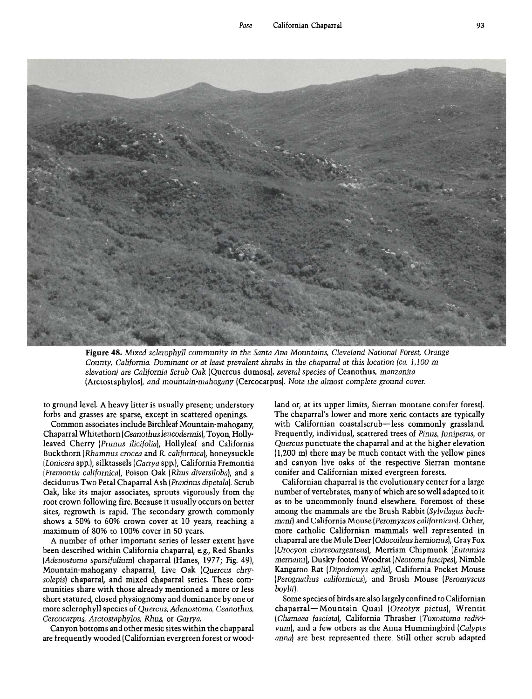

Figure 48. Mixed sclerophyll community in the Santa Ana Mountains, Cleveland National Forest, Orange County, California. Dominant or at least prevalent shrubs in the chaparral at this location (ca. 1, <sup>100</sup> m elevation) are California Scrub Oak [Quercus dumosa], several species of Ceanothus, manzanita (Arctostaphylos), and mountain-mahogany (Cercocarpus). Note the almost complete ground cover.

to ground level. A heavy litter is usually present; understory forbs and grasses are sparse, except in scattered openings.

Common associates include Birchleaf Mountain-mahogany, Chaparral Whitethorn (Ceanothus leucodermis), Toyon, Hollyleaved Cherry [Prunus ilicifolial, Hollyleaf and California Buckthorn (Rhamnus crocea and R. californica), honeysuckle (Lonicera spp.), silktassels (Garrya spp.), California Fremontia (Fremontia californica), Poison Oak (Rhus diversiloba), and a deciduous Two Petal Chaparral Ash (Fraxinus dipetala). Scrub Oak, like' its major associates, sprouts vigorously from the root crown following fire. Because it usually occurs on better sites, regrowth is rapid. The secondary growth commonly shows <sup>a</sup> 50% to 60% crown cover at 10 years, reaching <sup>a</sup> maximum of 80% to 100% cover in 50 years.

A number of other important series of lesser extent have been described within California chaparral, e.g., Red Shanks (Adenostoma sparsifolium) chaparral (Hanes, 1977; Fig. 49), Mountain-mahogany chaparral, Live Oak (Quercus chrysolepisl chaparral, and mixed chaparral series. These communities share with those already mentioned <sup>a</sup> more or less short statured, closed physiognomy and dominance by one or more sclerophyll species of Quercus, Adenostoma, Ceanothus, Cercocarpus, Arctostaphylos, Rhus, or Garrya.

Canyon bottoms and other mesic sites within the chapparal are frequently wooded (Californian evergreen forest or woodland or, at its upper limits, Sierran montane conifer forest). The chaparral's lower and more xeric contacts are typically with Californian coastalscrub-less commonly grassland. Frequently, individual, scattered trees of Pinus, Juniperus, or Quercus punctuate the chaparral and at the higher elevation 11,200 m] there may be much contact with the yellow pines and canyon live oaks of the respective Sierran montane conifer and Californian mixed evergreen forests.

Californian chaparral is the evolutionary center for <sup>a</sup> large number of vertebrates, many of which are so well adapted to it as to be uncommonly found elsewhere. Foremost of these among the mammals are the Brush Rabbit (Sylvilagus bachmani) and California Mouse (Peromyscus californicus). Other, more catholic Californian mammals well represented in chaparral are the Mule Deer (Odocoileus hemionus), Gray Fox <sup>1</sup> Urocyon cinereoargenteusl, Merriam Chipmunk (Eutamias merriami), Dusky-footed Woodrat (Neotoma fuscipes), Nimble Kangaroo Rat (Dipodomys agilisl, California Pocket Mouse IPerognathus californicusl, and Brush Mouse (Peromyscus boylii).

Some species of birds are also largely confined to Californian chaparral-Mountain Quail (Oreotyx pictus), Wrentit (Chamaea fasciatal, California Thrasher (Toxostoma tedivivum], and <sup>a</sup> few others as the Anna Hummingbird (Calypte annal are best represented there. Still other scrub adapted